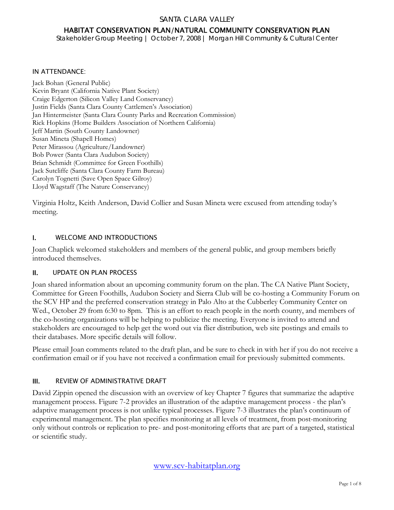#### SANTA CLARA VALLEY

# HABITAT CONSERVATION PLAN/NATURAL COMMUNITY CONSERVATION PLAN

*Stakeholder Group Meeting | October 7, 2008 | Morgan Hill Community & Cultural Center* 

#### IN ATTENDANCE:

Jack Bohan (General Public) Kevin Bryant (California Native Plant Society) Craige Edgerton (Silicon Valley Land Conservancy) Justin Fields (Santa Clara County Cattlemen's Association) Jan Hintermeister (Santa Clara County Parks and Recreation Commission) Rick Hopkins (Home Builders Association of Northern California) Jeff Martin (South County Landowner) Susan Mineta (Shapell Homes) Peter Mirassou (Agriculture/Landowner) Bob Power (Santa Clara Audubon Society) Brian Schmidt (Committee for Green Foothills) Jack Sutcliffe (Santa Clara County Farm Bureau) Carolyn Tognetti (Save Open Space Gilroy) Lloyd Wagstaff (The Nature Conservancy)

Virginia Holtz, Keith Anderson, David Collier and Susan Mineta were excused from attending today's meeting.

#### I. WELCOME AND INTRODUCTIONS

Joan Chaplick welcomed stakeholders and members of the general public, and group members briefly introduced themselves.

#### II. UPDATE ON PLAN PROCESS

Joan shared information about an upcoming community forum on the plan. The CA Native Plant Society, Committee for Green Foothills, Audubon Society and Sierra Club will be co-hosting a Community Forum on the SCV HP and the preferred conservation strategy in Palo Alto at the Cubberley Community Center on Wed., October 29 from 6:30 to 8pm. This is an effort to reach people in the north county, and members of the co-hosting organizations will be helping to publicize the meeting. Everyone is invited to attend and stakeholders are encouraged to help get the word out via flier distribution, web site postings and emails to their databases. More specific details will follow.

Please email Joan comments related to the draft plan, and be sure to check in with her if you do not receive a confirmation email or if you have not received a confirmation email for previously submitted comments.

#### III. REVIEW OF ADMINISTRATIVE DRAFT

David Zippin opened the discussion with an overview of key Chapter 7 figures that summarize the adaptive management process. Figure 7-2 provides an illustration of the adaptive management process - the plan's adaptive management process is not unlike typical processes. Figure 7-3 illustrates the plan's continuum of experimental management. The plan specifies monitoring at all levels of treatment, from post-monitoring only without controls or replication to pre- and post-monitoring efforts that are part of a targeted, statistical or scientific study.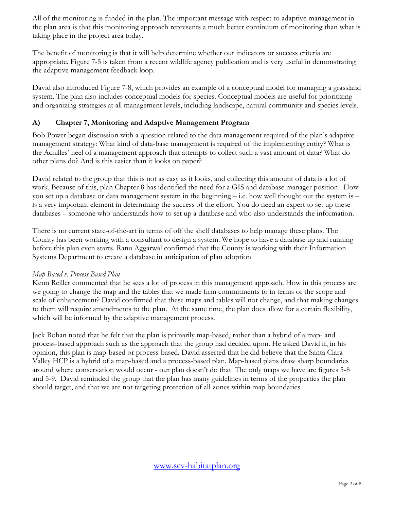All of the monitoring is funded in the plan. The important message with respect to adaptive management in the plan area is that this monitoring approach represents a much better continuum of monitoring than what is taking place in the project area today.

The benefit of monitoring is that it will help determine whether our indicators or success criteria are appropriate. Figure 7-5 is taken from a recent wildlife agency publication and is very useful in demonstrating the adaptive management feedback loop.

David also introduced Figure 7-8, which provides an example of a conceptual model for managing a grassland system. The plan also includes conceptual models for species. Conceptual models are useful for prioritizing and organizing strategies at all management levels, including landscape, natural community and species levels.

# **A) Chapter 7, Monitoring and Adaptive Management Program**

Bob Power began discussion with a question related to the data management required of the plan's adaptive management strategy: What kind of data-base management is required of the implementing entity? What is the Achilles' heel of a management approach that attempts to collect such a vast amount of data? What do other plans do? And is this easier than it looks on paper?

David related to the group that this is not as easy as it looks, and collecting this amount of data is a lot of work. Because of this, plan Chapter 8 has identified the need for a GIS and database manager position. How you set up a database or data management system in the beginning – i.e. how well thought out the system is – is a very important element in determining the success of the effort. You do need an expert to set up these databases – someone who understands how to set up a database and who also understands the information.

There is no current state-of-the-art in terms of off the shelf databases to help manage these plans. The County has been working with a consultant to design a system. We hope to have a database up and running before this plan even starts. Ranu Aggarwal confirmed that the County is working with their Information Systems Department to create a database in anticipation of plan adoption.

### *Map-Based v. Process-Based Plan*

Kenn Reiller commented that he sees a lot of process in this management approach. How in this process are we going to change the map and the tables that we made firm commitments to in terms of the scope and scale of enhancement? David confirmed that these maps and tables will not change, and that making changes to them will require amendments to the plan. At the same time, the plan does allow for a certain flexibility, which will be informed by the adaptive management process.

Jack Bohan noted that he felt that the plan is primarily map-based, rather than a hybrid of a map- and process-based approach such as the approach that the group had decided upon. He asked David if, in his opinion, this plan is map-based or process-based. David asserted that he did believe that the Santa Clara Valley HCP is a hybrid of a map-based and a process-based plan. Map-based plans draw sharp boundaries around where conservation would occur - our plan doesn't do that. The only maps we have are figures 5-8 and 5-9. David reminded the group that the plan has many guidelines in terms of the properties the plan should target, and that we are not targeting protection of all zones within map boundaries.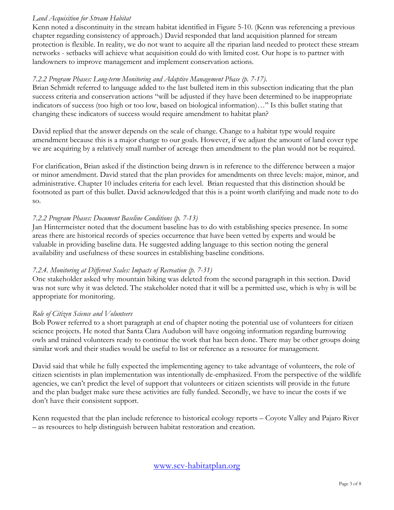### *Land Acquisition for Stream Habitat*

Kenn noted a discontinuity in the stream habitat identified in Figure 5-10. (Kenn was referencing a previous chapter regarding consistency of approach.) David responded that land acquisition planned for stream protection is flexible. In reality, we do not want to acquire all the riparian land needed to protect these stream networks - setbacks will achieve what acquisition could do with limited cost. Our hope is to partner with landowners to improve management and implement conservation actions.

# *7.2.2 Program Phases: Long-term Monitoring and Adaptive Management Phase (p. 7-17).*

Brian Schmidt referred to language added to the last bulleted item in this subsection indicating that the plan success criteria and conservation actions "will be adjusted if they have been determined to be inappropriate indicators of success (too high or too low, based on biological information)…" Is this bullet stating that changing these indicators of success would require amendment to habitat plan?

David replied that the answer depends on the scale of change. Change to a habitat type would require amendment because this is a major change to our goals. However, if we adjust the amount of land cover type we are acquiring by a relatively small number of acreage then amendment to the plan would not be required.

For clarification, Brian asked if the distinction being drawn is in reference to the difference between a major or minor amendment. David stated that the plan provides for amendments on three levels: major, minor, and administrative. Chapter 10 includes criteria for each level. Brian requested that this distinction should be footnoted as part of this bullet. David acknowledged that this is a point worth clarifying and made note to do so.

# *7.2.2 Program Phases: Document Baseline Conditions (p. 7-13)*

Jan Hintermeister noted that the document baseline has to do with establishing species presence. In some areas there are historical records of species occurrence that have been vetted by experts and would be valuable in providing baseline data. He suggested adding language to this section noting the general availability and usefulness of these sources in establishing baseline conditions.

### *7.2.4. Monitoring at Different Scales: Impacts of Recreation (p. 7-31)*

One stakeholder asked why mountain biking was deleted from the second paragraph in this section. David was not sure why it was deleted. The stakeholder noted that it will be a permitted use, which is why is will be appropriate for monitoring.

### *Role of Citizen Science and Volunteers*

Bob Power referred to a short paragraph at end of chapter noting the potential use of volunteers for citizen science projects. He noted that Santa Clara Audubon will have ongoing information regarding burrowing owls and trained volunteers ready to continue the work that has been done. There may be other groups doing similar work and their studies would be useful to list or reference as a resource for management.

David said that while he fully expected the implementing agency to take advantage of volunteers, the role of citizen scientists in plan implementation was intentionally de-emphasized. From the perspective of the wildlife agencies, we can't predict the level of support that volunteers or citizen scientists will provide in the future and the plan budget make sure these activities are fully funded. Secondly, we have to incur the costs if we don't have their consistent support.

Kenn requested that the plan include reference to historical ecology reports – Coyote Valley and Pajaro River – as resources to help distinguish between habitat restoration and creation.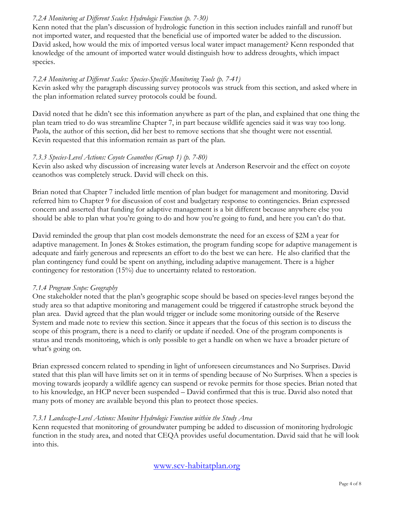# *7.2.4 Monitoring at Different Scales*: *Hydrologic Function (p. 7-30)*

Kenn noted that the plan's discussion of hydrologic function in this section includes rainfall and runoff but not imported water, and requested that the beneficial use of imported water be added to the discussion. David asked, how would the mix of imported versus local water impact management? Kenn responded that knowledge of the amount of imported water would distinguish how to address droughts, which impact species.

### *7.2.4 Monitoring at Different Scales: Species-Specific Monitoring Tools (p. 7-41)*

Kevin asked why the paragraph discussing survey protocols was struck from this section, and asked where in the plan information related survey protocols could be found.

David noted that he didn't see this information anywhere as part of the plan, and explained that one thing the plan team tried to do was streamline Chapter 7, in part because wildlife agencies said it was way too long. Paola, the author of this section, did her best to remove sections that she thought were not essential. Kevin requested that this information remain as part of the plan.

# *7.3.3 Species-Level Actions: Coyote Ceanothos (Group 1) (p. 7-80)*

Kevin also asked why discussion of increasing water levels at Anderson Reservoir and the effect on coyote ceanothos was completely struck. David will check on this.

Brian noted that Chapter 7 included little mention of plan budget for management and monitoring. David referred him to Chapter 9 for discussion of cost and budgetary response to contingencies. Brian expressed concern and asserted that funding for adaptive management is a bit different because anywhere else you should be able to plan what you're going to do and how you're going to fund, and here you can't do that.

David reminded the group that plan cost models demonstrate the need for an excess of \$2M a year for adaptive management. In Jones & Stokes estimation, the program funding scope for adaptive management is adequate and fairly generous and represents an effort to do the best we can here. He also clarified that the plan contingency fund could be spent on anything, including adaptive management. There is a higher contingency for restoration (15%) due to uncertainty related to restoration.

### *7.1.4 Program Scope: Geography*

One stakeholder noted that the plan's geographic scope should be based on species-level ranges beyond the study area so that adaptive monitoring and management could be triggered if catastrophe struck beyond the plan area. David agreed that the plan would trigger or include some monitoring outside of the Reserve System and made note to review this section. Since it appears that the focus of this section is to discuss the scope of this program, there is a need to clarify or update if needed. One of the program components is status and trends monitoring, which is only possible to get a handle on when we have a broader picture of what's going on.

Brian expressed concern related to spending in light of unforeseen circumstances and No Surprises. David stated that this plan will have limits set on it in terms of spending because of No Surprises. When a species is moving towards jeopardy a wildlife agency can suspend or revoke permits for those species. Brian noted that to his knowledge, an HCP never been suspended – David confirmed that this is true. David also noted that many pots of money are available beyond this plan to protect those species.

### *7.3.1 Landscape-Level Actions: Monitor Hydrologic Function within the Study Area*

Kenn requested that monitoring of groundwater pumping be added to discussion of monitoring hydrologic function in the study area, and noted that CEQA provides useful documentation. David said that he will look into this.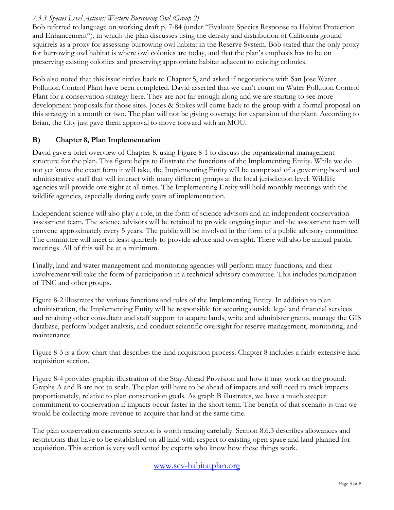# *7.3.3 Species-Level Actions: Western Burrowing Owl (Group 2)*

Bob referred to language on working draft p. 7-84 (under "Evaluate Species Response to Habitat Protection and Enhancement"), in which the plan discusses using the density and distribution of California ground squirrels as a proxy for assessing burrowing owl habitat in the Reserve System. Bob stated that the only proxy for burrowing owl habitat is where owl colonies are today, and that the plan's emphasis has to be on preserving existing colonies and preserving appropriate habitat adjacent to existing colonies.

Bob also noted that this issue circles back to Chapter 5, and asked if negotiations with San Jose Water Pollution Control Plant have been completed. David asserted that we can't count on Water Pollution Control Plant for a conservation strategy here. They are not far enough along and we are starting to see more development proposals for those sites. Jones & Stokes will come back to the group with a formal proposal on this strategy in a month or two. The plan will not be giving coverage for expansion of the plant. According to Brian, the City just gave them approval to move forward with an MOU.

# **B) Chapter 8, Plan Implementation**

David gave a brief overview of Chapter 8, using Figure 8-1 to discuss the organizational management structure for the plan. This figure helps to illustrate the functions of the Implementing Entity. While we do not yet know the exact form it will take, the Implementing Entity will be comprised of a governing board and administrative staff that will interact with many different groups at the local jurisdiction level. Wildlife agencies will provide oversight at all times. The Implementing Entity will hold monthly meetings with the wildlife agencies, especially during early years of implementation.

Independent science will also play a role, in the form of science advisors and an independent conservation assessment team. The science advisors will be retained to provide ongoing input and the assessment team will convene approximately every 5 years. The public will be involved in the form of a public advisory committee. The committee will meet at least quarterly to provide advice and oversight. There will also be annual public meetings. All of this will be at a minimum.

Finally, land and water management and monitoring agencies will perform many functions, and their involvement will take the form of participation in a technical advisory committee. This includes participation of TNC and other groups.

Figure 8-2 illustrates the various functions and roles of the Implementing Entity. In addition to plan administration, the Implementing Entity will be responsible for securing outside legal and financial services and retaining other consultant and staff support to acquire lands, write and administer grants, manage the GIS database, perform budget analysis, and conduct scientific oversight for reserve management, monitoring, and maintenance.

Figure 8-3 is a flow chart that describes the land acquisition process. Chapter 8 includes a fairly extensive land acquisition section.

Figure 8-4 provides graphic illustration of the Stay-Ahead Provision and how it may work on the ground. Graphs A and B are not to scale. The plan will have to be ahead of impacts and will need to track impacts proportionately, relative to plan conservation goals. As graph B illustrates, we have a much steeper commitment to conservation if impacts occur faster in the short term. The benefit of that scenario is that we would be collecting more revenue to acquire that land at the same time.

The plan conservation easements section is worth reading carefully. Section 8.6.3 describes allowances and restrictions that have to be established on all land with respect to existing open space and land planned for acquisition. This section is very well vetted by experts who know how these things work.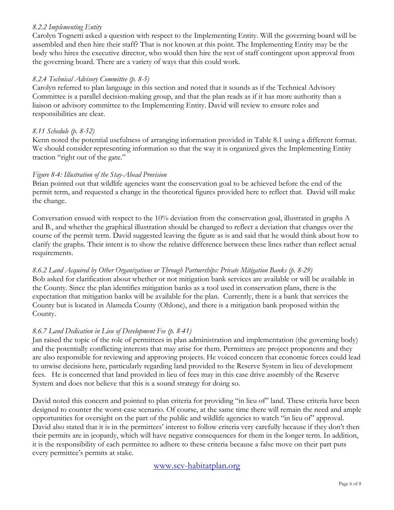### *8.2.2 Implementing Entity*

Carolyn Tognetti asked a question with respect to the Implementing Entity. Will the governing board will be assembled and then hire their staff? That is not known at this point. The Implementing Entity may be the body who hires the executive director, who would then hire the rest of staff contingent upon approval from the governing board. There are a variety of ways that this could work.

# *8.2.4 Technical Advisory Committee (p. 8-5)*

Carolyn referred to plan language in this section and noted that it sounds as if the Technical Advisory Committee is a parallel decision-making group, and that the plan reads as if it has more authority than a liaison or advisory committee to the Implementing Entity. David will review to ensure roles and responsibilities are clear.

# *8.11 Schedule (p. 8-52)*

Kenn noted the potential usefulness of arranging information provided in Table 8.1 using a different format. We should consider representing information so that the way it is organized gives the Implementing Entity traction "right out of the gate."

# *Figure 8-4: Illustration of the Stay-Ahead Provision*

Brian pointed out that wildlife agencies want the conservation goal to be achieved before the end of the permit term, and requested a change in the theoretical figures provided here to reflect that. David will make the change.

Conversation ensued with respect to the 10% deviation from the conservation goal, illustrated in graphs A and B., and whether the graphical illustration should be changed to reflect a deviation that changes over the course of the permit term. David suggested leaving the figure as is and said that he would think about how to clarify the graphs. Their intent is to show the relative difference between these lines rather than reflect actual requirements.

# *8.6.2 Land Acquired by Other Organizations or Through Partnerships: Private Mitigation Banks (p. 8-29)*

Bob asked for clarification about whether or not mitigation bank services are available or will be available in the County. Since the plan identifies mitigation banks as a tool used in conservation plans, there is the expectation that mitigation banks will be available for the plan. Currently, there is a bank that services the County but is located in Alameda County (Ohlone), and there is a mitigation bank proposed within the County.

# *8.6.7 Land Dedication in Lieu of Development Fee (p. 8-41)*

Jan raised the topic of the role of permittees in plan administration and implementation (the governing body) and the potentially conflicting interests that may arise for them. Permittees are project proponents and they are also responsible for reviewing and approving projects. He voiced concern that economic forces could lead to unwise decisions here, particularly regarding land provided to the Reserve System in lieu of development fees. He is concerned that land provided in lieu of fees may in this case drive assembly of the Reserve System and does not believe that this is a sound strategy for doing so.

David noted this concern and pointed to plan criteria for providing "in lieu of" land. These criteria have been designed to counter the worst-case scenario. Of course, at the same time there will remain the need and ample opportunities for oversight on the part of the public and wildlife agencies to watch "in lieu of" approval. David also stated that it is in the permittees' interest to follow criteria very carefully because if they don't then their permits are in jeopardy, which will have negative consequences for them in the longer term. In addition, it is the responsibility of each permittee to adhere to these criteria because a false move on their part puts every permittee's permits at stake.

# www.scv-habitatplan.org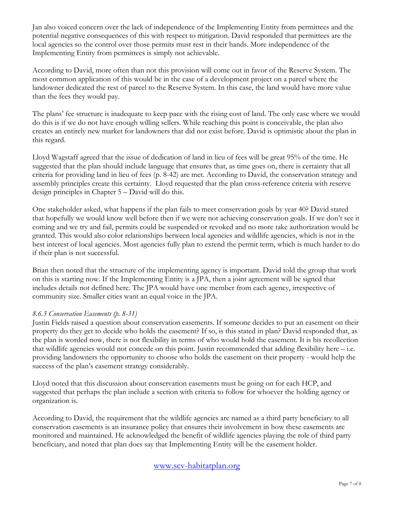Jan also voiced concern over the lack of independence of the Implementing Entity from permittees and the potential negative consequences of this with respect to mitigation. David responded that permittees are the local agencies so the control over those permits must rest in their hands. More independence of the Implementing Entity from permittees is simply not achievable.

According to David, more often than not this provision will come out in favor of the Reserve System. The most common application of this would be in the case of a development project on a parcel where the landowner dedicated the rest of parcel to the Reserve System. In this case, the land would have more value than the fees they would pay.

The plans' fee structure is inadequate to keep pace with the rising cost of land. The only case where we would do this is if we do not have enough willing sellers. While reaching this point is conceivable, the plan also creates an entirely new market for landowners that did not exist before. David is optimistic about the plan in this regard.

Lloyd Wagstaff agreed that the issue of dedication of land in lieu of fees will be great 95% of the time. He suggested that the plan should include language that ensures that, as time goes on, there is certainty that all criteria for providing land in lieu of fees (p. 8-42) are met. According to David, the conservation strategy and assembly principles create this certainty. Lloyd requested that the plan cross-reference criteria with reserve design principles in Chapter 5 – David will do this.

One stakeholder asked, what happens if the plan fails to meet conservation goals by year 40? David stated that hopefully we would know well before then if we were not achieving conservation goals. If we don't see it coming and we try and fail, permits could be suspended or revoked and no more take authorization would be granted. This would also color relationships between local agencies and wildlife agencies, which is not in the best interest of local agencies. Most agencies fully plan to extend the permit term, which is much harder to do if their plan is not successful.

Brian then noted that the structure of the implementing agency is important. David told the group that work on this is starting now. If the Implementing Entity is a JPA, then a joint agreement will be signed that includes details not defined here. The JPA would have one member from each agency, irrespective of community size. Smaller cities want an equal voice in the JPA.

### *8.6.3 Conservation Easements (p. 8-31)*

Justin Fields raised a question about conservation easements. If someone decides to put an easement on their property do they get to decide who holds the easement? If so, is this stated in plan? David responded that, as the plan is worded now, there is not flexibility in terms of who would hold the easement. It is his recollection that wildlife agencies would not concede on this point. Justin recommended that adding flexibility here – i.e. providing landowners the opportunity to choose who holds the easement on their property - would help the success of the plan's easement strategy considerably.

Lloyd noted that this discussion about conservation easements must be going on for each HCP, and suggested that perhaps the plan include a section with criteria to follow for whoever the holding agency or organization is.

According to David, the requirement that the wildlife agencies are named as a third party beneficiary to all conservation easements is an insurance policy that ensures their involvement in how these easements are monitored and maintained. He acknowledged the benefit of wildlife agencies playing the role of third party beneficiary, and noted that plan does say that Implementing Entity will be the easement holder.